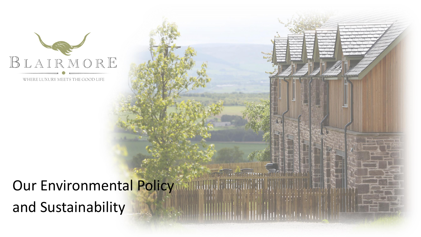

WHERE LUXURY MEETS THE GOOD LIFE

#### Our Environmental Policy and Sustainability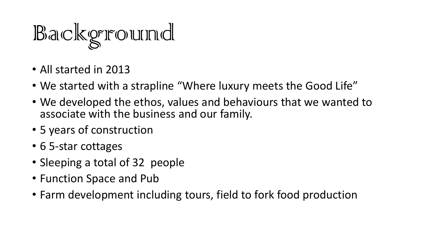

- All started in 2013
- We started with a strapline "Where luxury meets the Good Life"
- We developed the ethos, values and behaviours that we wanted to associate with the business and our family.
- 5 years of construction
- 6 5-star cottages
- Sleeping a total of 32 people
- Function Space and Pub
- Farm development including tours, field to fork food production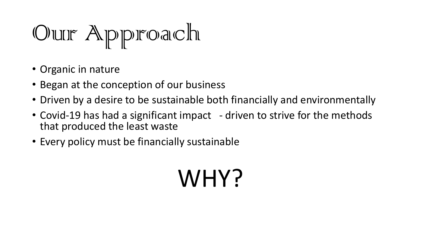Our Approach

- Organic in nature
- Began at the conception of our business
- Driven by a desire to be sustainable both financially and environmentally
- Covid-19 has had a significant impact driven to strive for the methods that produced the least waste
- Every policy must be financially sustainable

### WHY?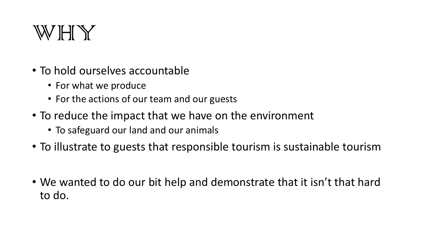

- To hold ourselves accountable
	- For what we produce
	- For the actions of our team and our guests
- To reduce the impact that we have on the environment
	- To safeguard our land and our animals
- To illustrate to guests that responsible tourism is sustainable tourism
- We wanted to do our bit help and demonstrate that it isn't that hard to do.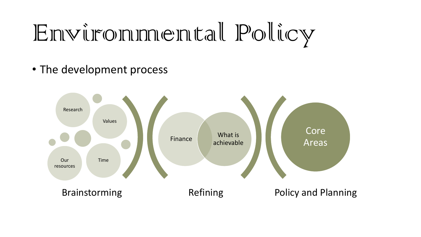## Environmental Policy

• The development process

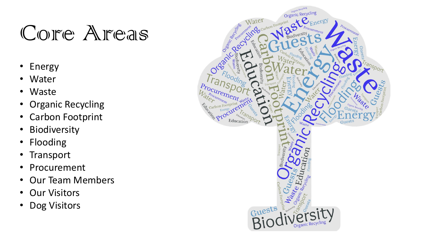#### Core Areas

- Energy
- Water
- Waste
- Organic Recycling
- Carbon Footprint
- Biodiversity
- Flooding
- Transport
- Procurement
- Our Team Members
- Our Visitors
- Dog Visitors